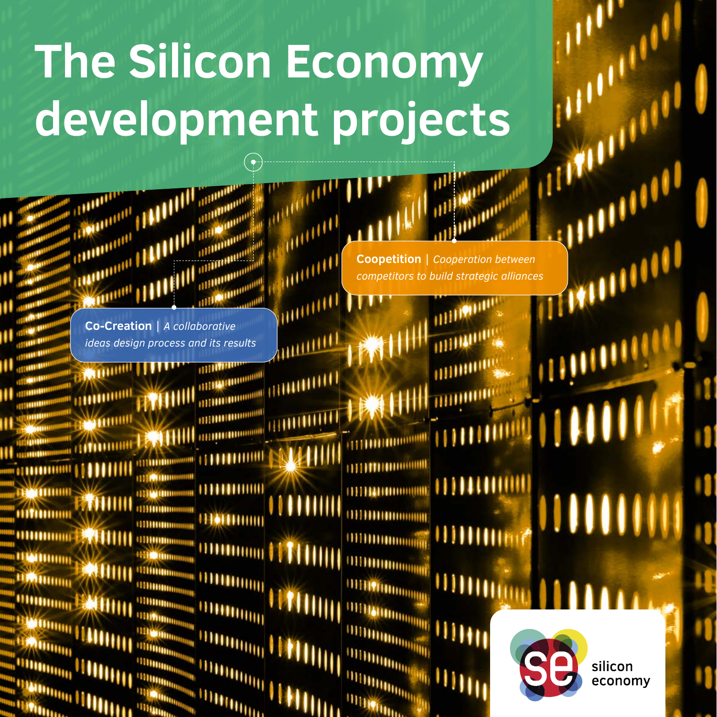# **The Silicon Economy development projects**

**AND LETT** 

munn

**ANTIHALL** 

iliitiitiitii



**Co-Creation** | *A collaborative ideas design process and its results* 

**MOULDED** 100000000 **ALLOWED DESCRIPTION OF REAL** HOTHUI **A UDOMONIA** 1999 - 1999 - 1999 - 1999 - 1999 - 1999 - 1999 - 1999 - 1999 - 1999 - 1999 - 1999 - 1999 - 1999 - 1999 - 1999 - 1999 - 1999 - 1999 - 1999 - 1999 - 1999 - 1999 - 1999 - 1999 - 1999 - 1999 - 1999 - 1999 - 1999 - 1999 - 1999

mmm

**WOOD** 

Wunn

**Stationary Politics** 

.,<sup>1111111111111</sup>

**Coopetition** | *Cooperation between competitors to build strategic alliances*

mmmm

WWW

**MUNICIP** 

**TELEFORMATION IN** 

**THERMOMENT** 

**HIHHHHHH** 

**UTHANIBURGHE** 

**MDONADOR** 

**DUTHING AND STATE** 

**WILL AND THE** 



П

ŋ

n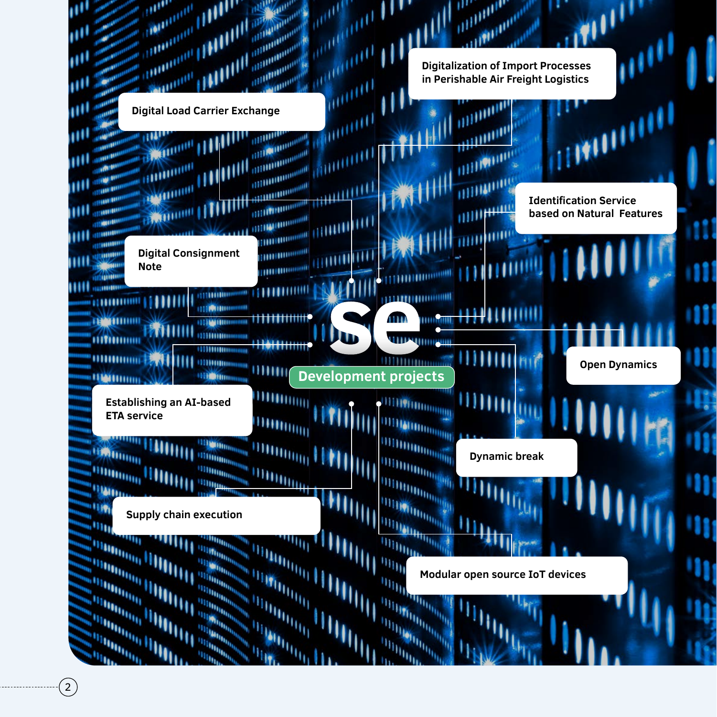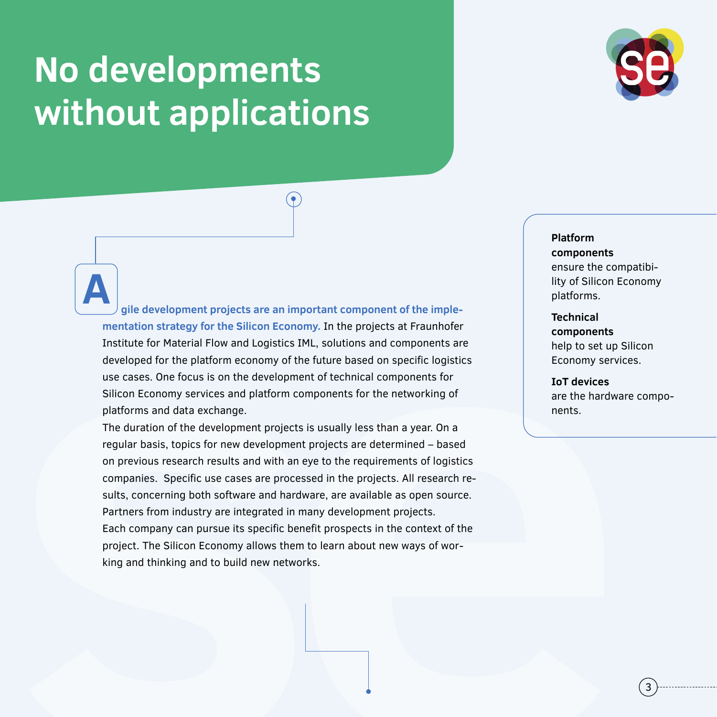# **No developments without applications**



# $(\bullet)$

**gile development projects are an important component of the implementation strategy for the Silicon Economy.** In the projects at Fraunhofer Institute for Material Flow and Logistics IML, solutions and components are developed for the platform economy of the future based on specific logistics use cases. One focus is on the development of technical components for Silicon Economy services and platform components for the networking of platforms and data exchange. **A**

The duration of the development projects is usually less than a year. On a regular basis, topics for new development projects are determined – based on previous research results and with an eye to the requirements of logistics companies. Specific use cases are processed in the projects. All research results, concerning both software and hardware, are available as open source. Partners from industry are integrated in many development projects. Each company can pursue its specific benefit prospects in the context of the project. The Silicon Economy allows them to learn about new ways of working and thinking and to build new networks.

### **Platform components** ensure the compatibility of Silicon Economy platforms.

**Technical components** help to set up Silicon Economy services.

**IoT devices** are the hardware components.

3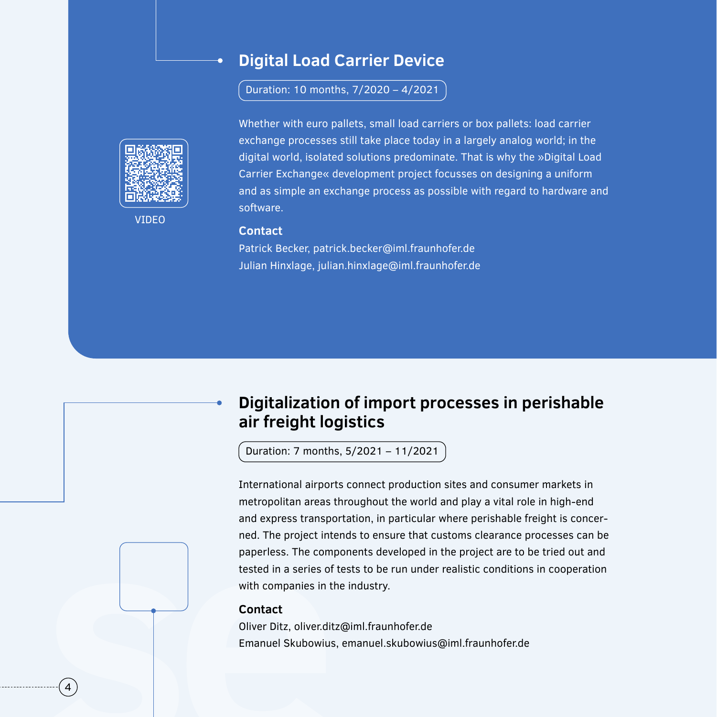# **Digital Load Carrier Device**

Duration: 10 months, 7/2020 – 4/2021



VIDEO

Whether with euro pallets, small load carriers or box pallets: load carrier exchange processes still take place today in a largely analog world; in the digital world, isolated solutions predominate. That is why the »Digital Load Carrier Exchange« development project focusses on designing a uniform and as simple an exchange process as possible with regard to hardware and software.

#### **Contact**

Patrick Becker, patrick.becker@iml.fraunhofer.de Julian Hinxlage, julian.hinxlage@iml.fraunhofer.de

# **Digitalization of import processes in perishable air freight logistics**

Duration: 7 months, 5/2021 – 11/2021

International airports connect production sites and consumer markets in metropolitan areas throughout the world and play a vital role in high-end and express transportation, in particular where perishable freight is concerned. The project intends to ensure that customs clearance processes can be paperless. The components developed in the project are to be tried out and tested in a series of tests to be run under realistic conditions in cooperation with companies in the industry.

#### **Contact**

Oliver Ditz, oliver.ditz@iml.fraunhofer.de Emanuel Skubowius, emanuel.skubowius@iml.fraunhofer.de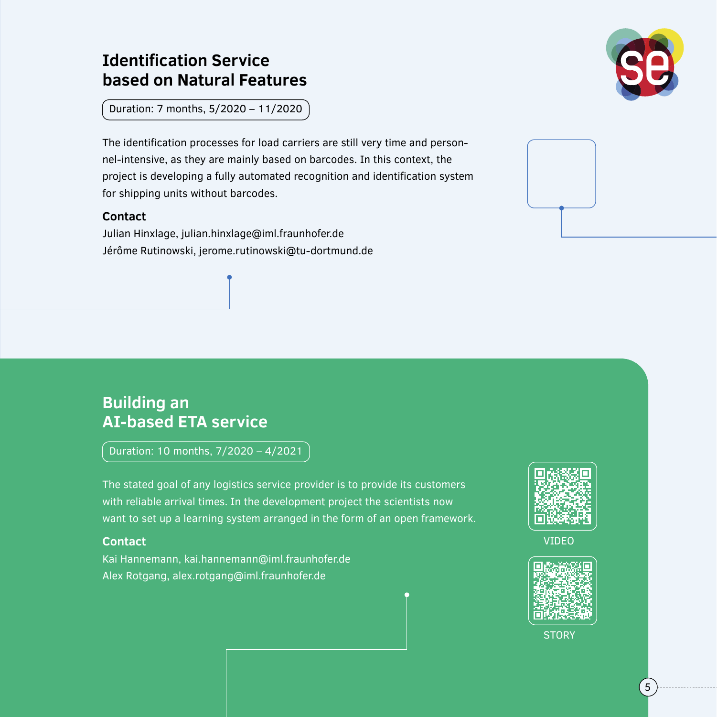# **Identification Service based on Natural Features**

Duration: 7 months, 5/2020 – 11/2020

The identification processes for load carriers are still very time and personnel-intensive, as they are mainly based on barcodes. In this context, the project is developing a fully automated recognition and identification system for shipping units without barcodes.

## **Contact**

Julian Hinxlage, julian.hinxlage@iml.fraunhofer.de Jérôme Rutinowski, jerome.rutinowski@tu-dortmund.de



# **Building an AI-based ETA service**

Duration: 10 months, 7/2020 – 4/2021

The stated goal of any logistics service provider is to provide its customers with reliable arrival times. In the development project the scientists now want to set up a learning system arranged in the form of an open framework.

### **Contact**

Kai Hannemann, kai.hannemann@iml.fraunhofer.de Alex Rotgang, alex.rotgang@iml.fraunhofer.de



VIDEO



**STORY**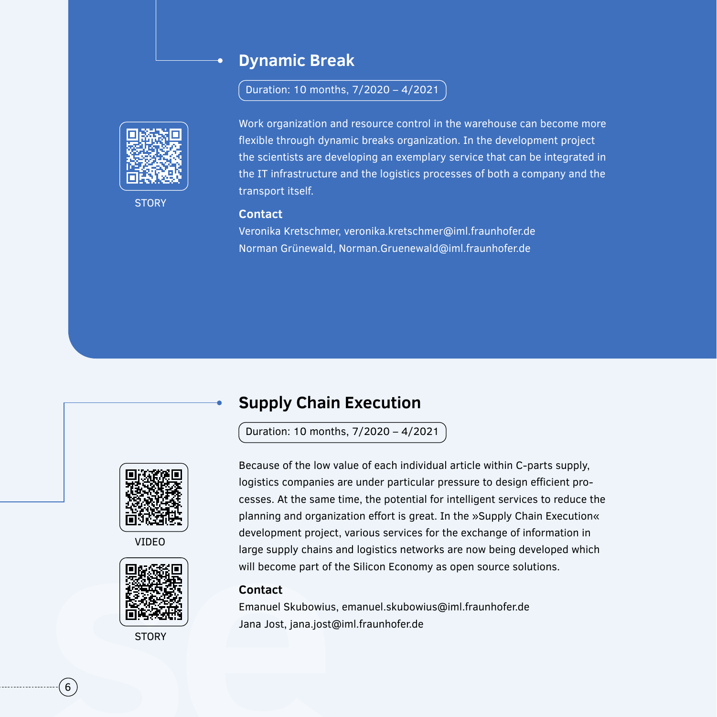# **Dynamic Break**

Duration: 10 months, 7/2020 – 4/2021



**STORY** 

Work organization and resource control in the warehouse can become more flexible through dynamic breaks organization. In the development project the scientists are developing an exemplary service that can be integrated in the IT infrastructure and the logistics processes of both a company and the transport itself.

#### **Contact**

Veronika Kretschmer, veronika.kretschmer@iml.fraunhofer.de Norman Grünewald, Norman.Gruenewald@iml.fraunhofer.de

# **Supply Chain Execution**

Duration: 10 months, 7/2020 – 4/2021



VIDEO



**STORY** 

Because of the low value of each individual article within C-parts supply, logistics companies are under particular pressure to design efficient processes. At the same time, the potential for intelligent services to reduce the planning and organization effort is great. In the »Supply Chain Execution« development project, various services for the exchange of information in large supply chains and logistics networks are now being developed which will become part of the Silicon Economy as open source solutions.

#### **Contact**

Emanuel Skubowius, emanuel.skubowius@iml.fraunhofer.de Jana Jost, jana.jost@iml.fraunhofer.de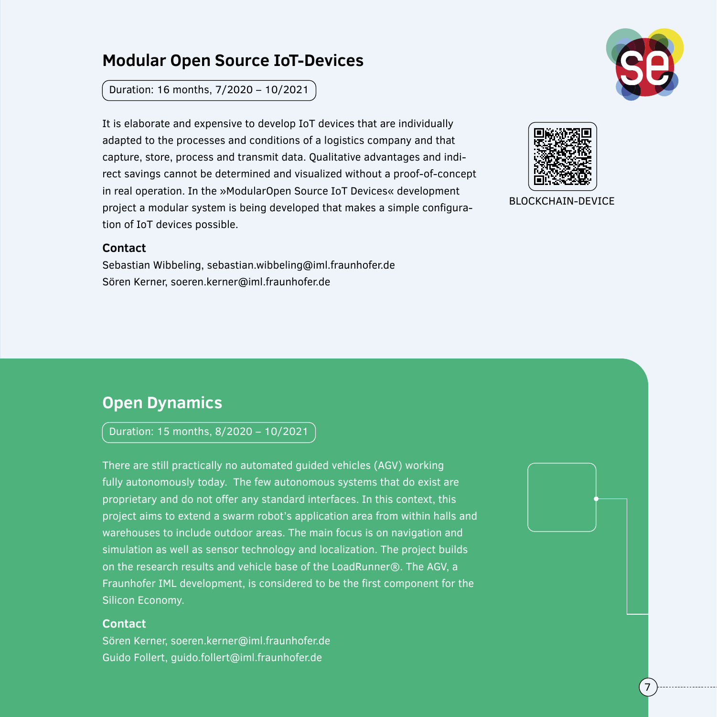# **Modular Open Source IoT-Devices**

Duration: 16 months, 7/2020 – 10/2021

It is elaborate and expensive to develop IoT devices that are individually adapted to the processes and conditions of a logistics company and that capture, store, process and transmit data. Qualitative advantages and indirect savings cannot be determined and visualized without a proof-of-concept in real operation. In the »ModularOpen Source IoT Devices« development project a modular system is being developed that makes a simple configuration of IoT devices possible.

#### **Contact**

Sebastian Wibbeling, sebastian.wibbeling@iml.fraunhofer.de Sören Kerner, soeren.kerner@iml.fraunhofer.de



7



#### BLOCKCHAIN-DEVICE

# **Open Dynamics**

Duration: 15 months, 8/2020 – 10/2021

There are still practically no automated guided vehicles (AGV) working fully autonomously today. The few autonomous systems that do exist are proprietary and do not offer any standard interfaces. In this context, this project aims to extend a swarm robot's application area from within halls and warehouses to include outdoor areas. The main focus is on navigation and simulation as well as sensor technology and localization. The project builds on the research results and vehicle base of the LoadRunner®. The AGV, a Fraunhofer IML development, is considered to be the first component for the Silicon Economy.

#### **Contact**

Sören Kerner, soeren.kerner@iml.fraunhofer.de Guido Follert, guido.follert@iml.fraunhofer.de